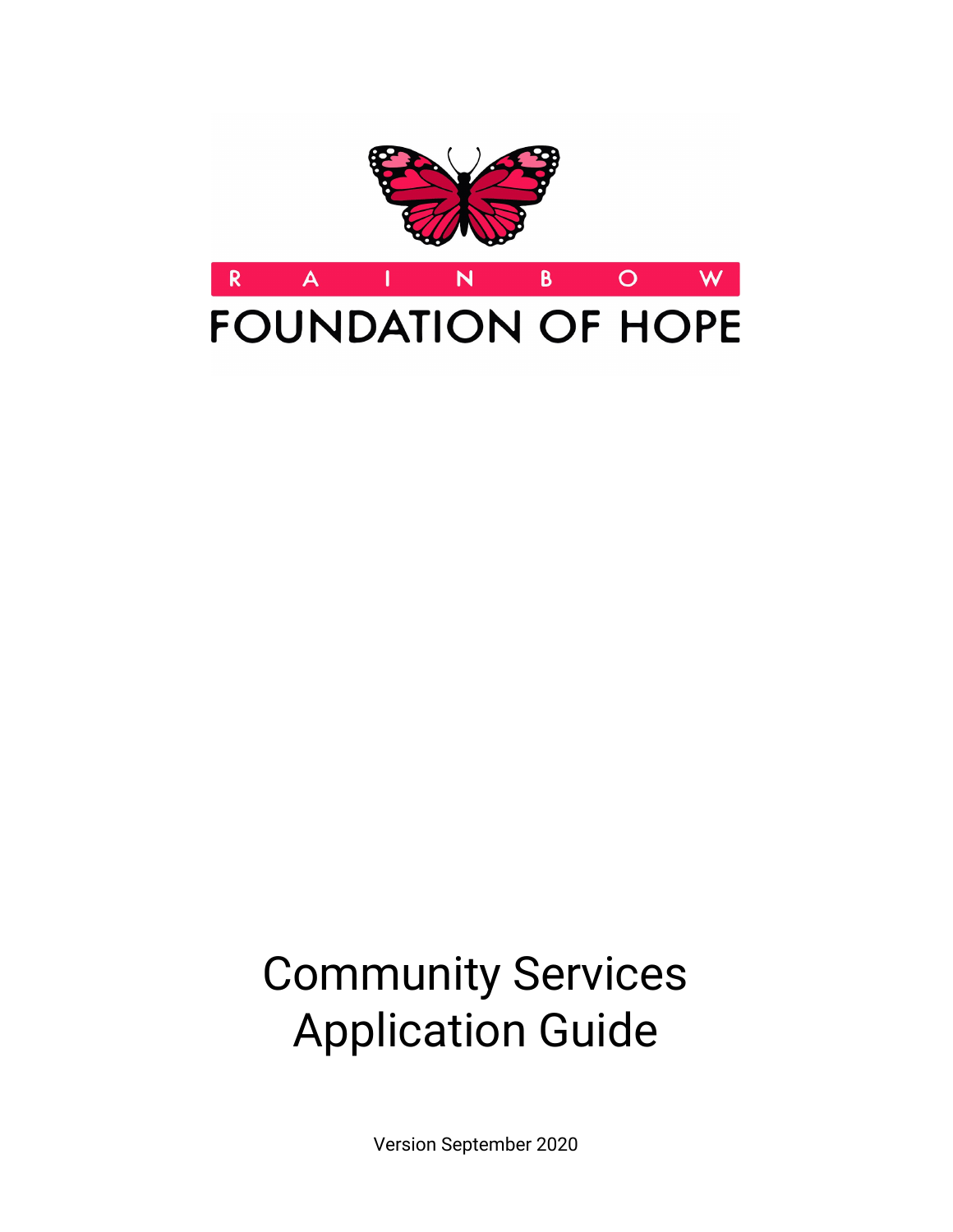

# Community Services Application Guide

Version September 2020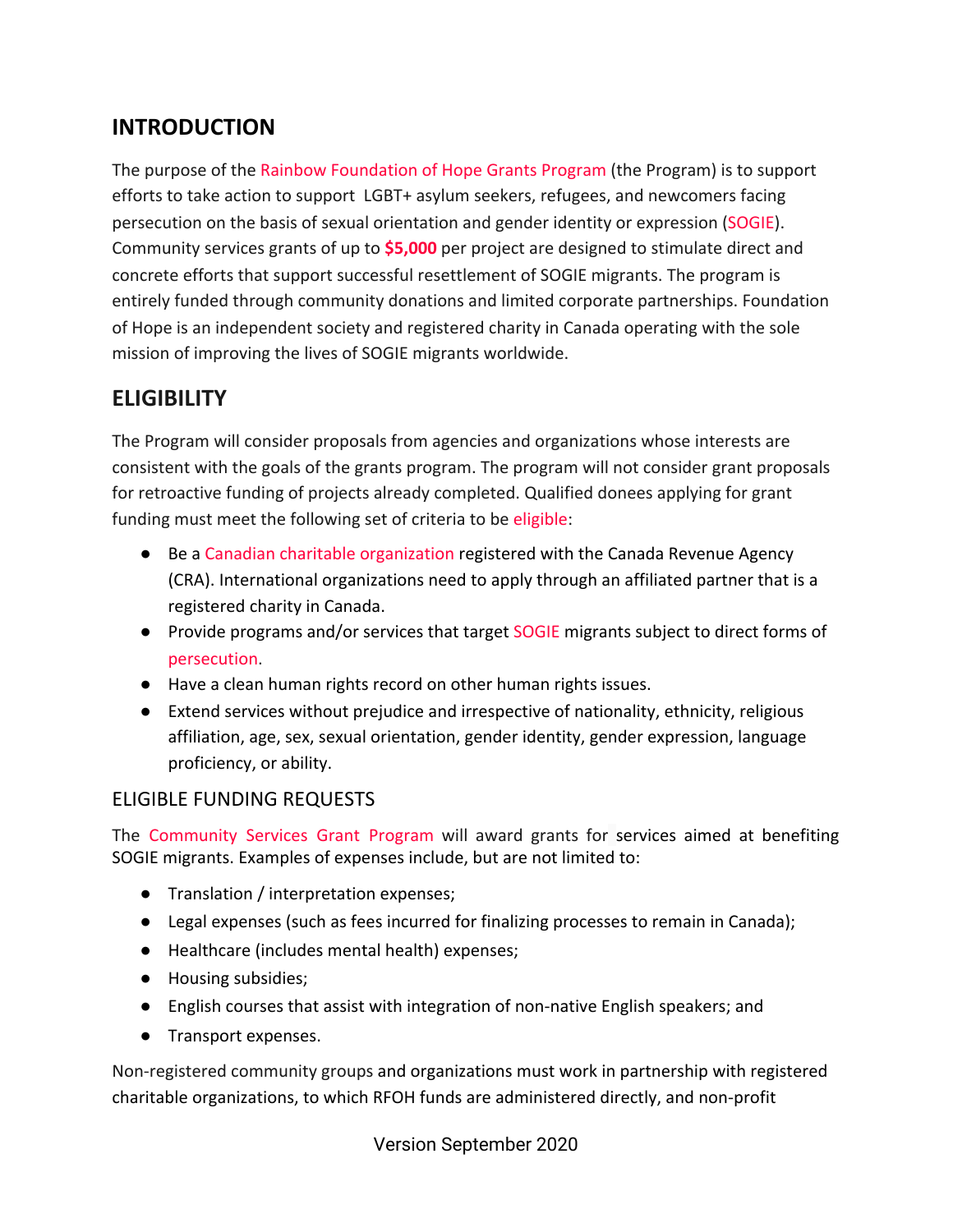## **INTRODUCTION**

The purpose of the Rainbow Foundation of Hope Grants Program (the Program) is to support efforts to take action to support LGBT+ asylum seekers, refugees, and newcomers facing persecution on the basis of sexual orientation and gender identity or expression (SOGIE). Community services grants of up to **\$5,000** per project are designed to stimulate direct and concrete efforts that support successful resettlement of SOGIE migrants. The program is entirely funded through community donations and limited corporate partnerships. Foundation of Hope is an independent society and registered charity in Canada operating with the sole mission of improving the lives of SOGIE migrants worldwide.

## **ELIGIBILITY**

The Program will consider proposals from agencies and organizations whose interests are consistent with the goals of the grants program. The program will not consider grant proposals for retroactive funding of projects already completed. Qualified donees applying for grant funding must meet the following set of criteria to be eligible:

- Be a Canadian charitable organization registered with the Canada Revenue Agency (CRA). International organizations need to apply through an affiliated partner that is a registered charity in Canada.
- Provide programs and/or services that target SOGIE migrants subject to direct forms of persecution.
- Have a clean human rights record on other human rights issues.
- Extend services without prejudice and irrespective of nationality, ethnicity, religious affiliation, age, sex, sexual orientation, gender identity, gender expression, language proficiency, or ability.

#### ELIGIBLE FUNDING REQUESTS

The Community Services Grant Program will award grants for services aimed at benefiting SOGIE migrants. Examples of expenses include, but are not limited to:

- Translation / interpretation expenses;
- Legal expenses (such as fees incurred for finalizing processes to remain in Canada);
- Healthcare (includes mental health) expenses;
- Housing subsidies;
- English courses that assist with integration of non-native English speakers; and
- Transport expenses.

Non-registered community groups and organizations must work in partnership with registered charitable organizations, to which RFOH funds are administered directly, and non-profit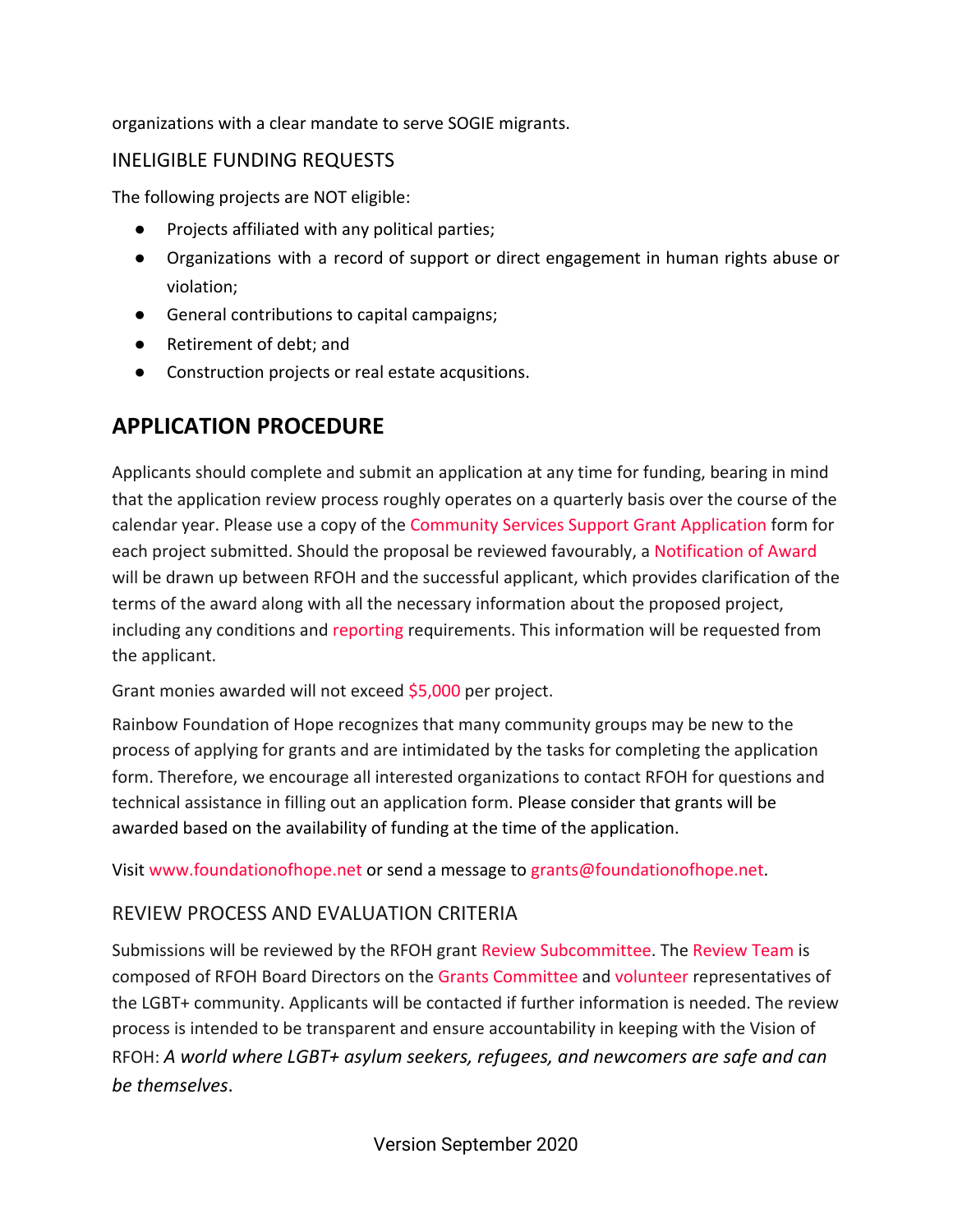organizations with a clear mandate to serve SOGIE migrants.

#### INELIGIBLE FUNDING REQUESTS

The following projects are NOT eligible:

- Projects affiliated with any political parties;
- Organizations with a record of support or direct engagement in human rights abuse or violation;
- General contributions to capital campaigns;
- Retirement of debt: and
- Construction projects or real estate acqusitions.

## **APPLICATION PROCEDURE**

Applicants should complete and submit an application at any time for funding, bearing in mind that the application review process roughly operates on a quarterly basis over the course of the calendar year. Please use a copy of the Community Services Support Grant Application form for each project submitted. Should the proposal be reviewed favourably, a Notification of Award will be drawn up between RFOH and the successful applicant, which provides clarification of the terms of the award along with all the necessary information about the proposed project, including any conditions and reporting requirements. This information will be requested from the applicant.

Grant monies awarded will not exceed \$5,000 per project.

Rainbow Foundation of Hope recognizes that many community groups may be new to the process of applying for grants and are intimidated by the tasks for completing the application form. Therefore, we encourage all interested organizations to contact RFOH for questions and technical assistance in filling out an application form. Please consider that grants will be awarded based on the availability of funding at the time of the application.

Visit [www.foundationofhope.net](http://www.foundationofhope.net/) or send a message to [grants@foundationofhope.net](mailto:grants@foundationofhope.net).

#### REVIEW PROCESS AND EVALUATION CRITERIA

Submissions will be reviewed by the RFOH grant Review Subcommittee. The Review Team is composed of RFOH Board Directors on the Grants Committee and volunteer representatives of the LGBT+ community. Applicants will be contacted if further information is needed. The review process is intended to be transparent and ensure accountability in keeping with the Vision of RFOH: *A world where LGBT+ asylum seekers, refugees, and newcomers are safe and can be themselves*.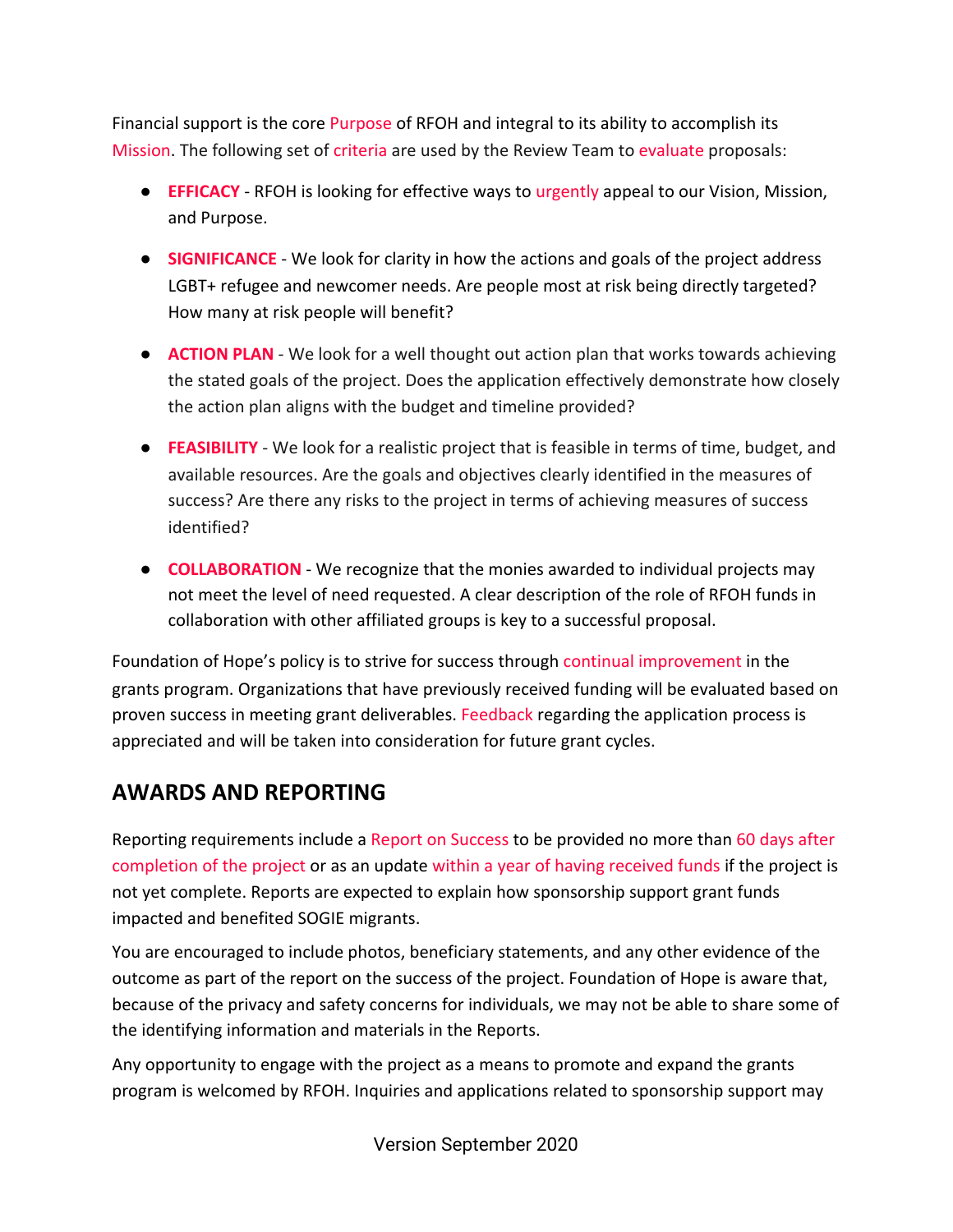Financial support is the core Purpose of RFOH and integral to its ability to accomplish its Mission. The following set of criteria are used by the Review Team to evaluate proposals:

- **EFFICACY** RFOH is looking for effective ways to urgently appeal to our Vision, Mission, and Purpose.
- **SIGNIFICANCE** We look for clarity in how the actions and goals of the project address LGBT+ refugee and newcomer needs. Are people most at risk being directly targeted? How many at risk people will benefit?
- **ACTION PLAN** We look for a well thought out action plan that works towards achieving the stated goals of the project. Does the application effectively demonstrate how closely the action plan aligns with the budget and timeline provided?
- **FEASIBILITY** We look for a realistic project that is feasible in terms of time, budget, and available resources. Are the goals and objectives clearly identified in the measures of success? Are there any risks to the project in terms of achieving measures of success identified?
- **COLLABORATION** We recognize that the monies awarded to individual projects may not meet the level of need requested. A clear description of the role of RFOH funds in collaboration with other affiliated groups is key to a successful proposal.

Foundation of Hope's policy is to strive for success through continual improvement in the grants program. Organizations that have previously received funding will be evaluated based on proven success in meeting grant deliverables. Feedback regarding the application process is appreciated and will be taken into consideration for future grant cycles.

# **AWARDS AND REPORTING**

Reporting requirements include a Report on Success to be provided no more than 60 days after completion of the project or as an update within a year of having received funds if the project is not yet complete. Reports are expected to explain how sponsorship support grant funds impacted and benefited SOGIE migrants.

You are encouraged to include photos, beneficiary statements, and any other evidence of the outcome as part of the report on the success of the project. Foundation of Hope is aware that, because of the privacy and safety concerns for individuals, we may not be able to share some of the identifying information and materials in the Reports.

Any opportunity to engage with the project as a means to promote and expand the grants program is welcomed by RFOH. Inquiries and applications related to sponsorship support may